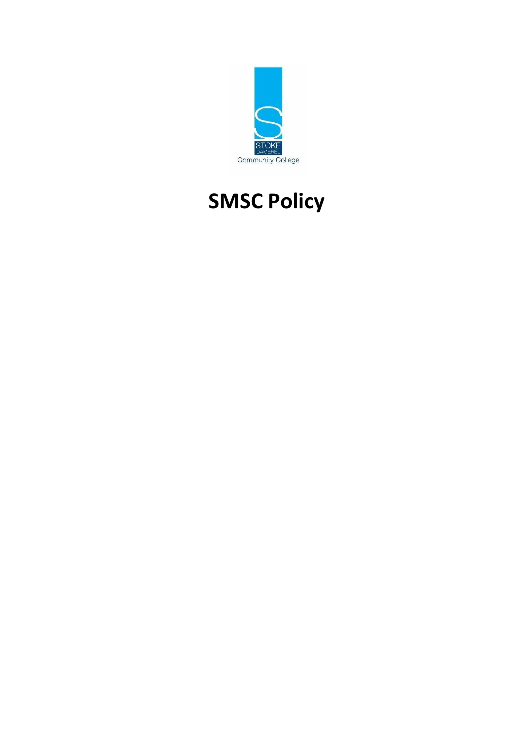

# **SMSC Policy**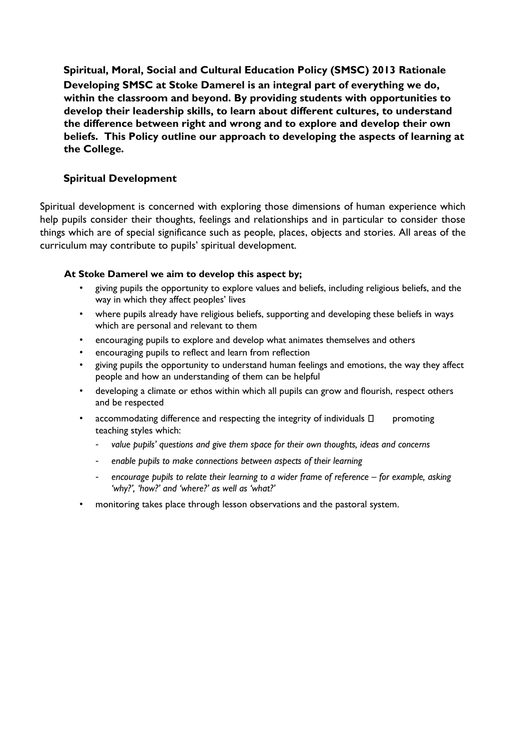**Spiritual, Moral, Social and Cultural Education Policy (SMSC) 2013 Rationale Developing SMSC at Stoke Damerel is an integral part of everything we do, within the classroom and beyond. By providing students with opportunities to develop their leadership skills, to learn about different cultures, to understand the difference between right and wrong and to explore and develop their own beliefs. This Policy outline our approach to developing the aspects of learning at the College.** 

## **Spiritual Development**

Spiritual development is concerned with exploring those dimensions of human experience which help pupils consider their thoughts, feelings and relationships and in particular to consider those things which are of special significance such as people, places, objects and stories. All areas of the curriculum may contribute to pupils' spiritual development.

#### **At Stoke Damerel we aim to develop this aspect by;**

- giving pupils the opportunity to explore values and beliefs, including religious beliefs, and the way in which they affect peoples' lives
- where pupils already have religious beliefs, supporting and developing these beliefs in ways which are personal and relevant to them
- encouraging pupils to explore and develop what animates themselves and others
- encouraging pupils to reflect and learn from reflection
- giving pupils the opportunity to understand human feelings and emotions, the way they affect people and how an understanding of them can be helpful
- developing a climate or ethos within which all pupils can grow and flourish, respect others and be respected
- accommodating difference and respecting the integrity of individuals  $\square$  promoting teaching styles which:
	- *value pupils' questions and give them space for their own thoughts, ideas and concerns*
	- *enable pupils to make connections between aspects of their learning*
	- encourage pupils to relate their learning to a wider frame of reference for example, asking *'why?', 'how?' and 'where?' as well as 'what?'*
- monitoring takes place through lesson observations and the pastoral system.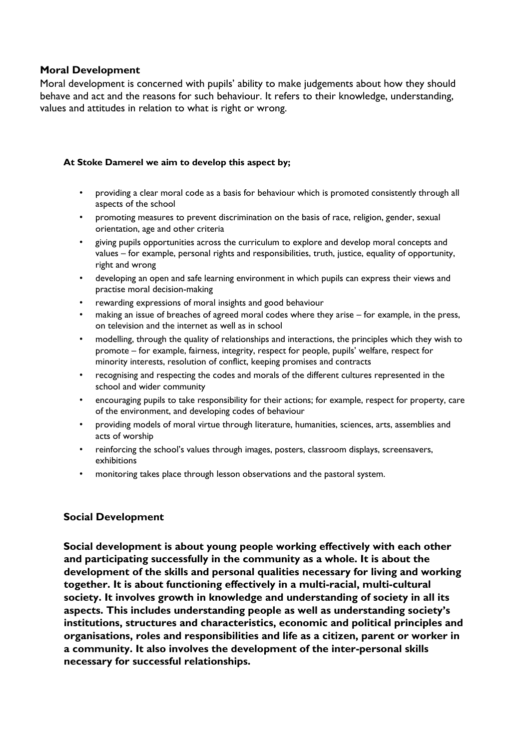### **Moral Development**

Moral development is concerned with pupils' ability to make judgements about how they should behave and act and the reasons for such behaviour. It refers to their knowledge, understanding, values and attitudes in relation to what is right or wrong.

#### **At Stoke Damerel we aim to develop this aspect by;**

- providing a clear moral code as a basis for behaviour which is promoted consistently through all aspects of the school
- promoting measures to prevent discrimination on the basis of race, religion, gender, sexual orientation, age and other criteria
- giving pupils opportunities across the curriculum to explore and develop moral concepts and values – for example, personal rights and responsibilities, truth, justice, equality of opportunity, right and wrong
- developing an open and safe learning environment in which pupils can express their views and practise moral decision-making
- rewarding expressions of moral insights and good behaviour
- making an issue of breaches of agreed moral codes where they arise for example, in the press, on television and the internet as well as in school
- modelling, through the quality of relationships and interactions, the principles which they wish to promote – for example, fairness, integrity, respect for people, pupils' welfare, respect for minority interests, resolution of conflict, keeping promises and contracts
- recognising and respecting the codes and morals of the different cultures represented in the school and wider community
- encouraging pupils to take responsibility for their actions; for example, respect for property, care of the environment, and developing codes of behaviour
- providing models of moral virtue through literature, humanities, sciences, arts, assemblies and acts of worship
- reinforcing the school's values through images, posters, classroom displays, screensavers, exhibitions
- monitoring takes place through lesson observations and the pastoral system.

#### **Social Development**

**Social development is about young people working effectively with each other and participating successfully in the community as a whole. It is about the development of the skills and personal qualities necessary for living and working together. It is about functioning effectively in a multi-racial, multi-cultural society. It involves growth in knowledge and understanding of society in all its aspects. This includes understanding people as well as understanding society's institutions, structures and characteristics, economic and political principles and organisations, roles and responsibilities and life as a citizen, parent or worker in a community. It also involves the development of the inter-personal skills necessary for successful relationships.**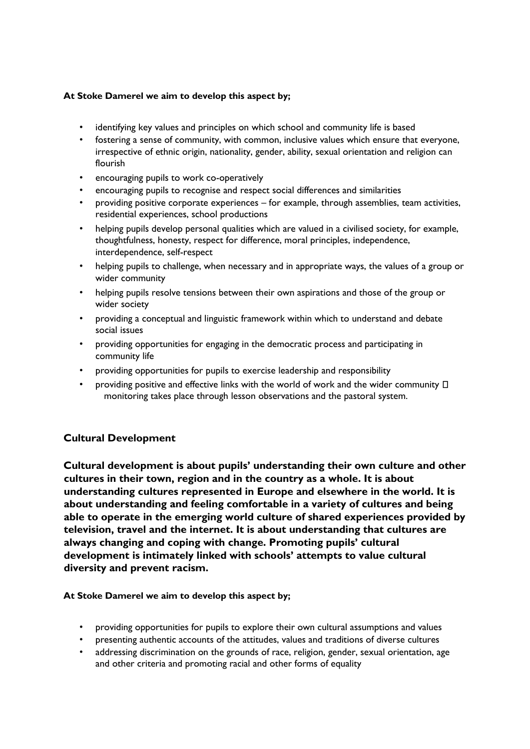#### **At Stoke Damerel we aim to develop this aspect by;**

- identifying key values and principles on which school and community life is based
- fostering a sense of community, with common, inclusive values which ensure that everyone, irrespective of ethnic origin, nationality, gender, ability, sexual orientation and religion can flourish
- encouraging pupils to work co-operatively
- encouraging pupils to recognise and respect social differences and similarities
- providing positive corporate experiences for example, through assemblies, team activities, residential experiences, school productions
- helping pupils develop personal qualities which are valued in a civilised society, for example, thoughtfulness, honesty, respect for difference, moral principles, independence, interdependence, self-respect
- helping pupils to challenge, when necessary and in appropriate ways, the values of a group or wider community
- helping pupils resolve tensions between their own aspirations and those of the group or wider society
- providing a conceptual and linguistic framework within which to understand and debate social issues
- providing opportunities for engaging in the democratic process and participating in community life
- providing opportunities for pupils to exercise leadership and responsibility
- providing positive and effective links with the world of work and the wider community  $\Box$ monitoring takes place through lesson observations and the pastoral system.

#### **Cultural Development**

**Cultural development is about pupils' understanding their own culture and other cultures in their town, region and in the country as a whole. It is about understanding cultures represented in Europe and elsewhere in the world. It is about understanding and feeling comfortable in a variety of cultures and being able to operate in the emerging world culture of shared experiences provided by television, travel and the internet. It is about understanding that cultures are always changing and coping with change. Promoting pupils' cultural development is intimately linked with schools' attempts to value cultural diversity and prevent racism.** 

#### **At Stoke Damerel we aim to develop this aspect by;**

- providing opportunities for pupils to explore their own cultural assumptions and values
- presenting authentic accounts of the attitudes, values and traditions of diverse cultures
- addressing discrimination on the grounds of race, religion, gender, sexual orientation, age and other criteria and promoting racial and other forms of equality